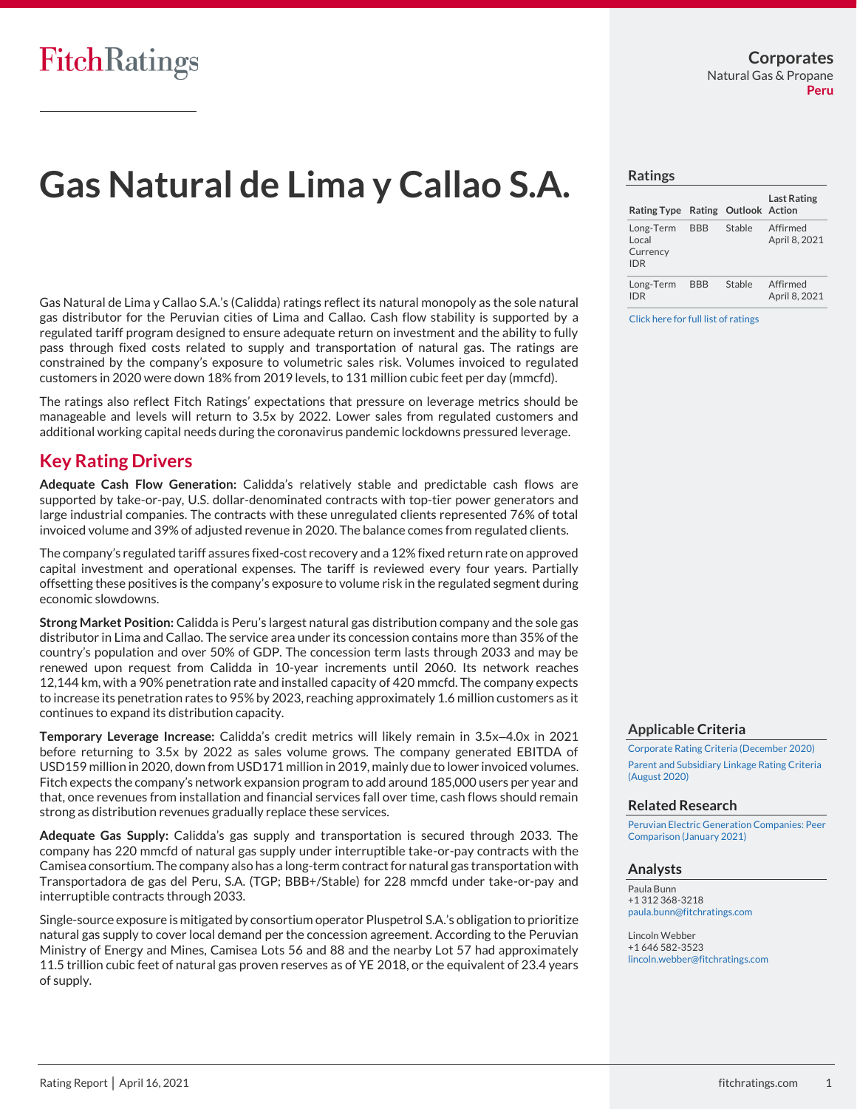# **Gas Natural de Lima y Callao S.A.**

Gas Natural de Lima y Callao S.A.'s (Calidda) ratings reflect its natural monopoly as the sole natural gas distributor for the Peruvian cities of Lima and Callao. Cash flow stability is supported by a regulated tariff program designed to ensure adequate return on investment and the ability to fully pass through fixed costs related to supply and transportation of natural gas. The ratings are constrained by the company's exposure to volumetric sales risk. Volumes invoiced to regulated customers in 2020 were down 18% from 2019 levels, to 131 million cubic feet per day (mmcfd).

The ratings also reflect Fitch Ratings' expectations that pressure on leverage metrics should be manageable and levels will return to 3.5x by 2022. Lower sales from regulated customers and additional working capital needs during the coronavirus pandemic lockdowns pressured leverage.

# **Key Rating Drivers**

**Adequate Cash Flow Generation:** Calidda's relatively stable and predictable cash flows are supported by take-or-pay, U.S. dollar-denominated contracts with top-tier power generators and large industrial companies. The contracts with these unregulated clients represented 76% of total invoiced volume and 39% of adjusted revenue in 2020. The balance comes from regulated clients.

The company's regulated tariff assures fixed-cost recovery and a 12% fixed return rate on approved capital investment and operational expenses. The tariff is reviewed every four years. Partially offsetting these positives is the company's exposure to volume risk in the regulated segment during economic slowdowns.

**Strong Market Position:** Calidda is Peru's largest natural gas distribution company and the sole gas distributor in Lima and Callao. The service area under its concession contains more than 35% of the country's population and over 50% of GDP. The concession term lasts through 2033 and may be renewed upon request from Calidda in 10-year increments until 2060. Its network reaches 12,144 km, with a 90% penetration rate and installed capacity of 420 mmcfd. The company expects to increase its penetration rates to 95% by 2023, reaching approximately 1.6 million customers as it continues to expand its distribution capacity.

**Temporary Leverage Increase:** Calidda's credit metrics will likely remain in 3.5x–4.0x in 2021 before returning to 3.5x by 2022 as sales volume grows. The company generated EBITDA of USD159 million in 2020, down from USD171 million in 2019, mainly due to lower invoiced volumes. Fitch expects the company's network expansion program to add around 185,000 users per year and that, once revenues from installation and financial services fall over time, cash flows should remain strong as distribution revenues gradually replace these services.

**Adequate Gas Supply:** Calidda's gas supply and transportation is secured through 2033. The company has 220 mmcfd of natural gas supply under interruptible take-or-pay contracts with the Camisea consortium. The company also has a long-term contract for natural gas transportation with Transportadora de gas del Peru, S.A. (TGP; BBB+/Stable) for 228 mmcfd under take-or-pay and interruptible contracts through 2033.

Single-source exposure is mitigated by consortium operator Pluspetrol S.A.'s obligation to prioritize natural gas supply to cover local demand per the concession agreement. According to the Peruvian Ministry of Energy and Mines, Camisea Lots 56 and 88 and the nearby Lot 57 had approximately 11.5 trillion cubic feet of natural gas proven reserves as of YE 2018, or the equivalent of 23.4 years of supply.

**Ratings**

| <b>Rating Type</b>                           |            | Rating Outlook Action | <b>Last Rating</b>        |
|----------------------------------------------|------------|-----------------------|---------------------------|
| Long-Term<br>Local<br>Currency<br><b>IDR</b> | <b>BBB</b> | Stable                | Affirmed<br>April 8, 2021 |
| Long-Term<br><b>IDR</b>                      | <b>BBB</b> | Stable                | Affirmed<br>April 8, 2021 |

[Click here for full list of ratings](https://www.fitchratings.com/entity/gas-natural-de-lima-y-callao-sa-92138890)

### **Applicable Criteria**

[Corporate Rating Criteria \(December 2020\)](https://app.fitchconnect.com/search/research/article/RPT_10146507) [Parent and Subsidiary Linkage Rating Criteria](https://app.fitchconnect.com/search/research/article/RPT_10133830)  [\(August 2020\)](https://app.fitchconnect.com/search/research/article/RPT_10133830)

#### **Related Research**

[Peruvian Electric Generation Companies: Peer](https://app.fitchconnect.com/search/research/article/RPT_10149058)  [Comparison \(January 2021\)](https://app.fitchconnect.com/search/research/article/RPT_10149058)

### **Analysts**

Paula Bunn +1 312 368-3218 [paula.bunn@fitchratings.com](mailto:%20paula.bunn@fitchratings.com)

Lincoln Webber +1 646 582-3523 [lincoln.webber@fitchratings.com](mailto:%20lincoln.webber@fitchratings.com)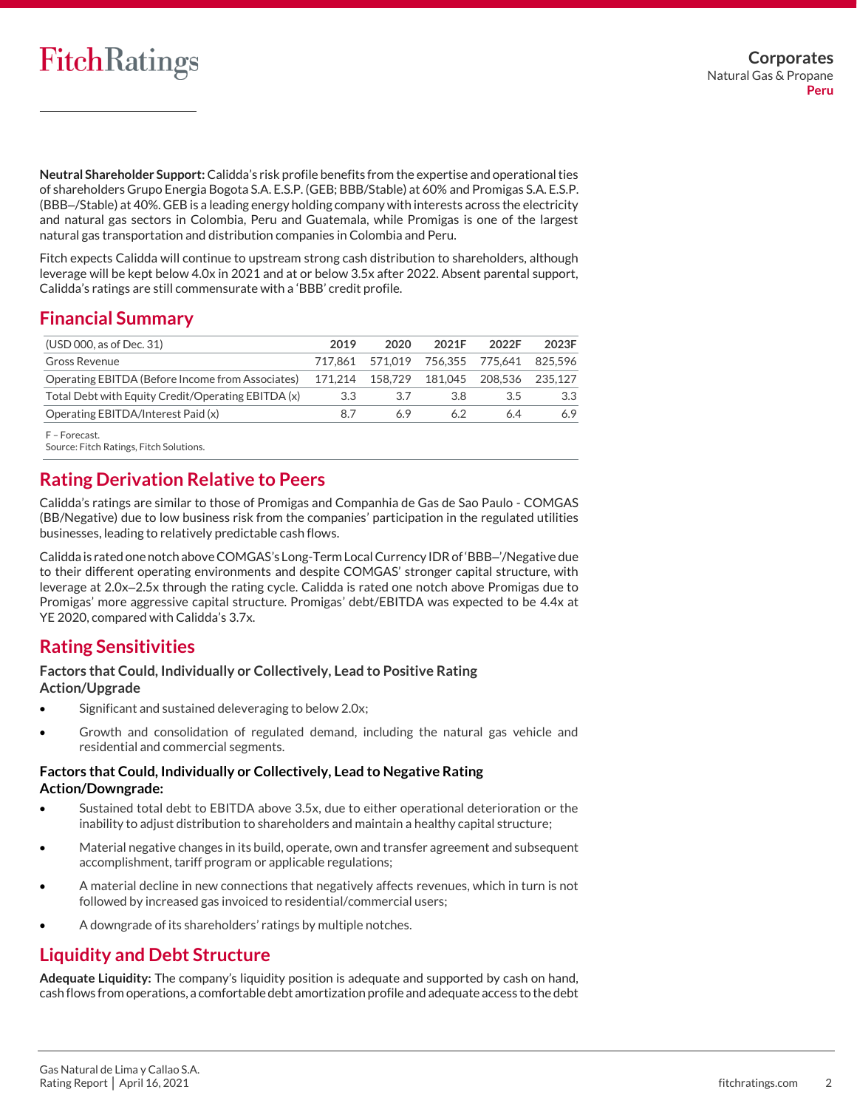**Neutral Shareholder Support:** Calidda's risk profile benefits from the expertise and operational ties of shareholders Grupo Energia Bogota S.A. E.S.P. (GEB; BBB/Stable) at 60% and Promigas S.A. E.S.P. (BBB–/Stable) at 40%. GEB is a leading energy holding company with interests across the electricity and natural gas sectors in Colombia, Peru and Guatemala, while Promigas is one of the largest natural gas transportation and distribution companies in Colombia and Peru.

Fitch expects Calidda will continue to upstream strong cash distribution to shareholders, although leverage will be kept below 4.0x in 2021 and at or below 3.5x after 2022. Absent parental support, Calidda's ratings are still commensurate with a 'BBB' credit profile.

# **Financial Summary**

| (USD 000, as of Dec. 31)                           | 2019    | 2020                            | 2021F                     | 2022F | 2023F   |
|----------------------------------------------------|---------|---------------------------------|---------------------------|-------|---------|
| Gross Revenue                                      |         | 717.861 571.019 756.355 775.641 |                           |       | 825.596 |
| Operating EBITDA (Before Income from Associates)   | 171.214 |                                 | 158.729  181.045  208.536 |       | 235.127 |
| Total Debt with Equity Credit/Operating EBITDA (x) | 3.3     | 3.7                             | 3.8                       | 3.5   | 3.3     |
| Operating EBITDA/Interest Paid (x)                 | 87      | 69                              | 62                        | 64    | 6.9     |
|                                                    |         |                                 |                           |       |         |

F – Forecast.

Source: Fitch Ratings, Fitch Solutions.

# **Rating Derivation Relative to Peers**

Calidda's ratings are similar to those of Promigas and Companhia de Gas de Sao Paulo - COMGAS (BB/Negative) due to low business risk from the companies' participation in the regulated utilities businesses, leading to relatively predictable cash flows.

Calidda is rated one notch above COMGAS's Long-Term Local Currency IDR of 'BBB–'/Negative due to their different operating environments and despite COMGAS' stronger capital structure, with leverage at 2.0x–2.5x through the rating cycle. Calidda is rated one notch above Promigas due to Promigas' more aggressive capital structure. Promigas' debt/EBITDA was expected to be 4.4x at YE 2020, compared with Calidda's 3.7x.

## **Rating Sensitivities**

### **Factors that Could, Individually or Collectively, Lead to Positive Rating Action/Upgrade**

- Significant and sustained deleveraging to below 2.0x;
- Growth and consolidation of regulated demand, including the natural gas vehicle and residential and commercial segments.

### **Factors that Could, Individually or Collectively, Lead to Negative Rating Action/Downgrade:**

- Sustained total debt to EBITDA above 3.5x, due to either operational deterioration or the inability to adjust distribution to shareholders and maintain a healthy capital structure;
- Material negative changes in its build, operate, own and transfer agreement and subsequent accomplishment, tariff program or applicable regulations;
- A material decline in new connections that negatively affects revenues, which in turn is not followed by increased gas invoiced to residential/commercial users;
- A downgrade of its shareholders' ratings by multiple notches.

# **Liquidity and Debt Structure**

**Adequate Liquidity:** The company's liquidity position is adequate and supported by cash on hand, cash flows from operations, a comfortable debt amortization profile and adequate access to the debt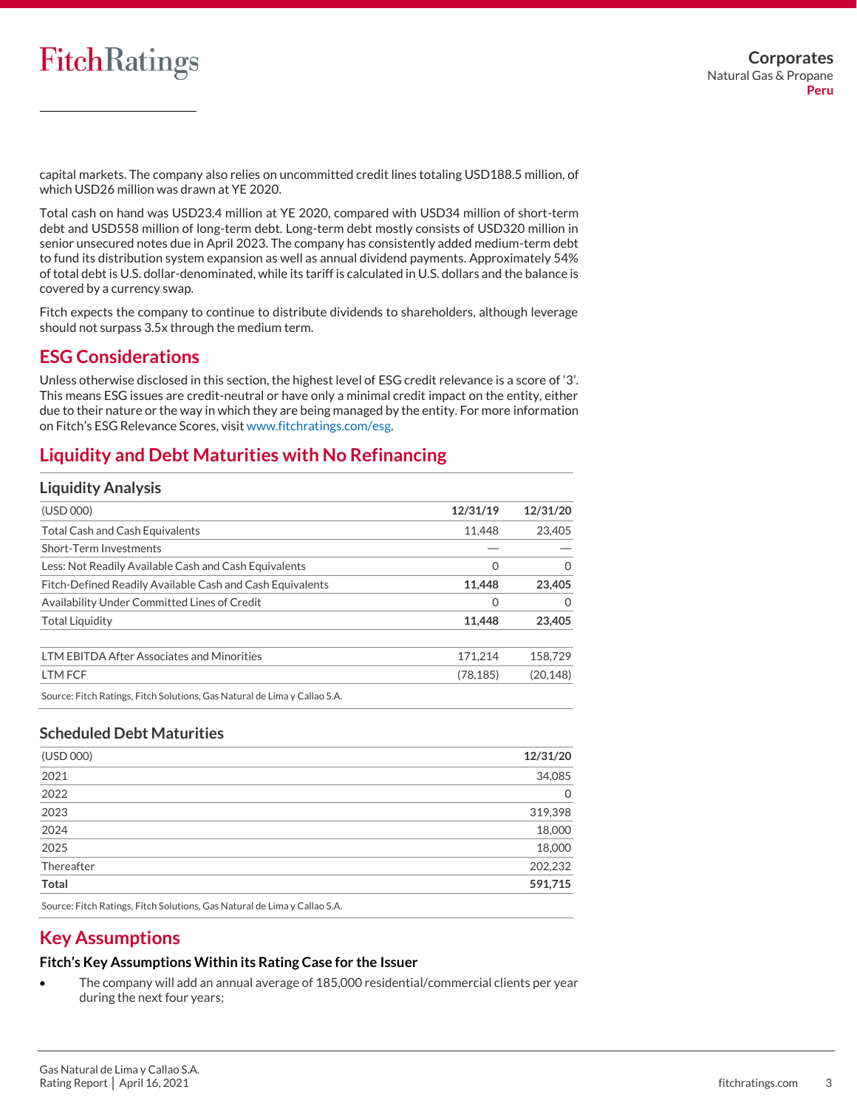capital markets. The company also relies on uncommitted credit lines totaling USD188.5 million, of which USD26 million was drawn at YE 2020.

Total cash on hand was USD23.4 million at YE 2020, compared with USD34 million of short-term debt and USD558 million of long-term debt. Long-term debt mostly consists of USD320 million in senior unsecured notes due in April 2023. The company has consistently added medium-term debt to fund its distribution system expansion as well as annual dividend payments. Approximately 54% of total debt is U.S. dollar-denominated, while its tariff is calculated in U.S. dollars and the balance is covered by a currency swap.

Fitch expects the company to continue to distribute dividends to shareholders, although leverage should not surpass 3.5x through the medium term.

## **ESG Considerations**

Unless otherwise disclosed in this section, the highest level of ESG credit relevance is a score of '3'. This means ESG issues are credit-neutral or have only a minimal credit impact on the entity, either due to their nature or the way in which they are being managed by the entity. For more information on Fitch's ESG Relevance Scores, visit [www.fitchratings.com/esg.](http://www.fitchratings.com/esg)

# **Liquidity and Debt Maturities with No Refinancing**

### **Liquidity Analysis**

| (USD 000)                                                                 | 12/31/19  | 12/31/20  |
|---------------------------------------------------------------------------|-----------|-----------|
| <b>Total Cash and Cash Equivalents</b>                                    | 11.448    | 23,405    |
| Short-Term Investments                                                    |           |           |
| Less: Not Readily Available Cash and Cash Equivalents                     | 0         | Ω         |
| Fitch-Defined Readily Available Cash and Cash Equivalents                 | 11.448    | 23,405    |
| Availability Under Committed Lines of Credit                              | 0         | 0         |
| <b>Total Liquidity</b>                                                    | 11.448    | 23,405    |
| <b>LTM EBITDA After Associates and Minorities</b>                         | 171.214   | 158,729   |
| LTM FCF                                                                   | (78, 185) | (20, 148) |
| Source: Fitch Ratings, Fitch Solutions, Gas Natural de Lima y Callao S.A. |           |           |

## **Scheduled Debt Maturities**

| 12/31/20    |
|-------------|
| 34,085      |
| $\mathbf 0$ |
| 319,398     |
| 18,000      |
| 18,000      |
| 202,232     |
| 591,715     |
|             |

Source: Fitch Ratings, Fitch Solutions, Gas Natural de Lima y Callao S.A.

# **Key Assumptions**

### **Fitch's Key Assumptions Within its Rating Case for the Issuer**

• The company will add an annual average of 185,000 residential/commercial clients per year during the next four years;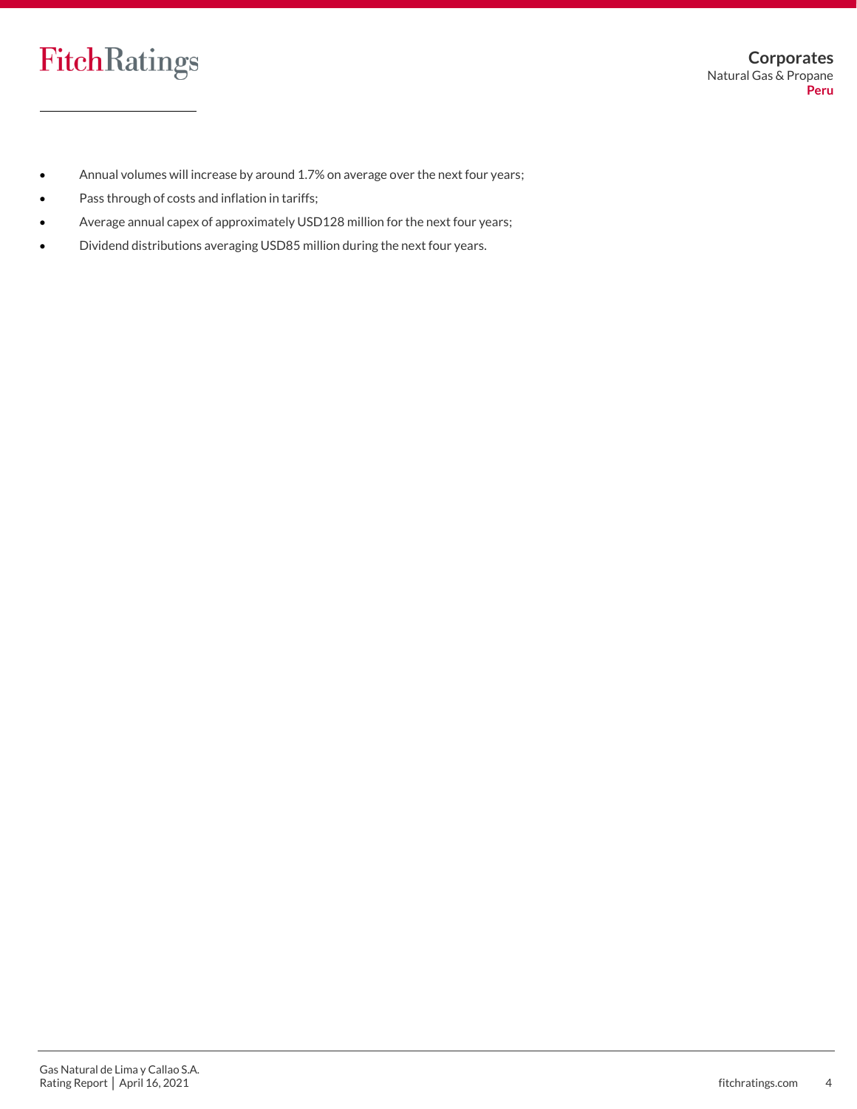- Annual volumes will increase by around 1.7% on average over the next four years;
- Pass through of costs and inflation in tariffs;
- Average annual capex of approximately USD128 million for the next four years;
- Dividend distributions averaging USD85 million during the next four years.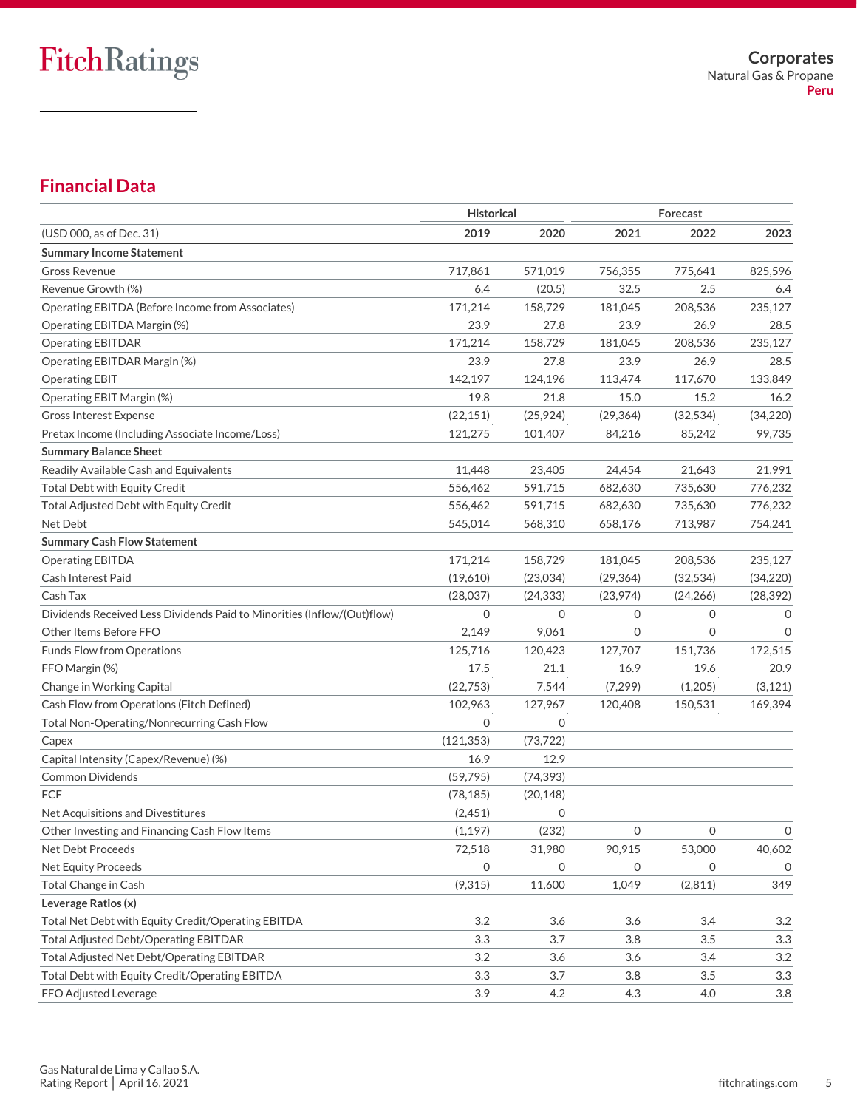# **Financial Data**

|                                                                         | <b>Historical</b> |              |           |           |               |
|-------------------------------------------------------------------------|-------------------|--------------|-----------|-----------|---------------|
| (USD 000, as of Dec. 31)                                                | 2019              | 2020         | 2021      | 2022      | 2023          |
| <b>Summary Income Statement</b>                                         |                   |              |           |           |               |
| Gross Revenue                                                           | 717,861           | 571,019      | 756,355   | 775,641   | 825,596       |
| Revenue Growth (%)                                                      | 6.4               | (20.5)       | 32.5      | 2.5       | 6.4           |
| Operating EBITDA (Before Income from Associates)                        | 171,214           | 158,729      | 181,045   | 208,536   | 235,127       |
| Operating EBITDA Margin (%)                                             | 23.9              | 27.8         | 23.9      | 26.9      | 28.5          |
| <b>Operating EBITDAR</b>                                                | 171,214           | 158,729      | 181,045   | 208,536   | 235,127       |
| Operating EBITDAR Margin (%)                                            | 23.9              | 27.8         | 23.9      | 26.9      | 28.5          |
| <b>Operating EBIT</b>                                                   | 142,197           | 124,196      | 113,474   | 117,670   | 133,849       |
| Operating EBIT Margin (%)                                               | 19.8              | 21.8         | 15.0      | 15.2      | 16.2          |
| <b>Gross Interest Expense</b>                                           | (22, 151)         | (25, 924)    | (29, 364) | (32, 534) | (34, 220)     |
| Pretax Income (Including Associate Income/Loss)                         | 121,275           | 101,407      | 84,216    | 85,242    | 99,735        |
| <b>Summary Balance Sheet</b>                                            |                   |              |           |           |               |
| Readily Available Cash and Equivalents                                  | 11,448            | 23,405       | 24,454    | 21,643    | 21,991        |
| <b>Total Debt with Equity Credit</b>                                    | 556,462           | 591,715      | 682,630   | 735.630   | 776,232       |
| Total Adjusted Debt with Equity Credit                                  | 556,462           | 591,715      | 682,630   | 735,630   | 776,232       |
| Net Debt                                                                | 545,014           | 568,310      | 658,176   | 713,987   | 754,241       |
| <b>Summary Cash Flow Statement</b>                                      |                   |              |           |           |               |
| Operating EBITDA                                                        | 171,214           | 158,729      | 181,045   | 208,536   | 235,127       |
| <b>Cash Interest Paid</b>                                               | (19,610)          | (23,034)     | (29, 364) | (32, 534) | (34,220)      |
| Cash Tax                                                                | (28,037)          | (24, 333)    | (23,974)  | (24, 266) | (28, 392)     |
| Dividends Received Less Dividends Paid to Minorities (Inflow/(Out)flow) | $\mathbf{O}$      | $\mathbf{O}$ | 0         | 0         | $\mathcal{O}$ |
| Other Items Before FFO                                                  | 2,149             | 9,061        | $\Omega$  | $\Omega$  | $\Omega$      |
| <b>Funds Flow from Operations</b>                                       | 125,716           | 120,423      | 127,707   | 151,736   | 172,515       |
| FFO Margin (%)                                                          | 17.5              | 21.1         | 16.9      | 19.6      | 20.9          |
| Change in Working Capital                                               | (22,753)          | 7,544        | (7, 299)  | (1,205)   | (3, 121)      |
| Cash Flow from Operations (Fitch Defined)                               | 102,963           | 127,967      | 120,408   | 150,531   | 169,394       |
| Total Non-Operating/Nonrecurring Cash Flow                              | $\mathbf 0$       | 0            |           |           |               |
| Capex                                                                   | (121, 353)        | (73, 722)    |           |           |               |
| Capital Intensity (Capex/Revenue) (%)                                   | 16.9              | 12.9         |           |           |               |
| <b>Common Dividends</b>                                                 | (59, 795)         | (74, 393)    |           |           |               |
| FCF                                                                     | (78, 185)         | (20, 148)    |           |           |               |
| Net Acquisitions and Divestitures                                       | (2,451)           | 0            |           |           |               |
| Other Investing and Financing Cash Flow Items                           | (1, 197)          | (232)        | 0         | 0         | 0             |
| Net Debt Proceeds                                                       | 72,518            | 31,980       | 90,915    | 53,000    | 40,602        |
| Net Equity Proceeds                                                     | 0                 | $\Omega$     | 0         | $\Omega$  | 0             |
| Total Change in Cash                                                    | (9, 315)          | 11,600       | 1,049     | (2,811)   | 349           |
| Leverage Ratios (x)                                                     |                   |              |           |           |               |
| Total Net Debt with Equity Credit/Operating EBITDA                      | 3.2               | 3.6          | 3.6       | 3.4       | 3.2           |
| <b>Total Adjusted Debt/Operating EBITDAR</b>                            | 3.3               | 3.7          | 3.8       | 3.5       | 3.3           |
| Total Adjusted Net Debt/Operating EBITDAR                               | 3.2               | 3.6          | 3.6       | 3.4       | 3.2           |
| Total Debt with Equity Credit/Operating EBITDA                          | 3.3               | 3.7          | 3.8       | 3.5       | 3.3           |
| FFO Adjusted Leverage                                                   | 3.9               | 4.2          | 4.3       | 4.0       | 3.8           |
|                                                                         |                   |              |           |           |               |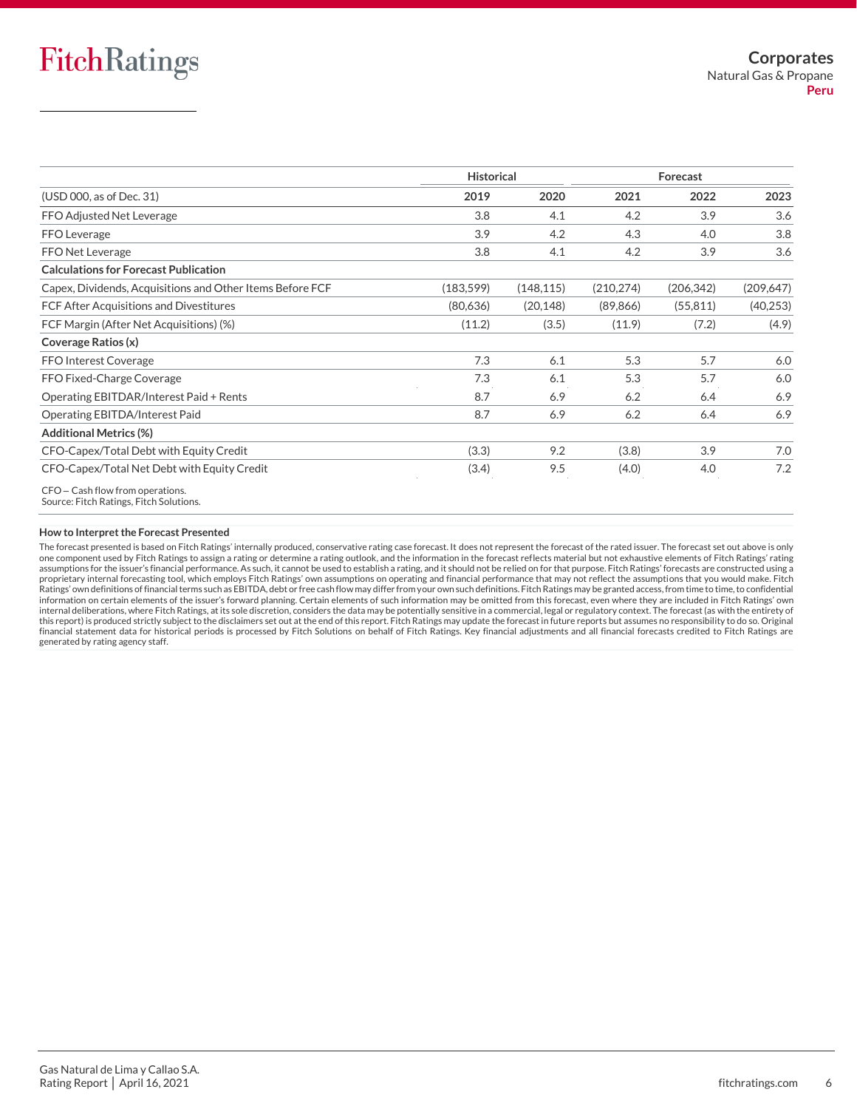|                                                           | <b>Historical</b> |            |            | Forecast   |            |
|-----------------------------------------------------------|-------------------|------------|------------|------------|------------|
| (USD 000, as of Dec. 31)                                  | 2019              | 2020       | 2021       | 2022       | 2023       |
| FFO Adjusted Net Leverage                                 | 3.8               | 4.1        | 4.2        | 3.9        | 3.6        |
| FFO Leverage                                              | 3.9               | 4.2        | 4.3        | 4.0        | 3.8        |
| FFO Net Leverage                                          | 3.8               | 4.1        | 4.2        | 3.9        | 3.6        |
| <b>Calculations for Forecast Publication</b>              |                   |            |            |            |            |
| Capex, Dividends, Acquisitions and Other Items Before FCF | (183, 599)        | (148, 115) | (210, 274) | (206, 342) | (209, 647) |
| FCF After Acquisitions and Divestitures                   | (80,636)          | (20, 148)  | (89, 866)  | (55, 811)  | (40, 253)  |
| FCF Margin (After Net Acquisitions) (%)                   | (11.2)            | (3.5)      | (11.9)     | (7.2)      | (4.9)      |
| Coverage Ratios (x)                                       |                   |            |            |            |            |
| <b>FFO Interest Coverage</b>                              | 7.3               | 6.1        | 5.3        | 5.7        | 6.0        |
| FFO Fixed-Charge Coverage                                 | 7.3               | 6.1        | 5.3        | 5.7        | 6.0        |
| Operating EBITDAR/Interest Paid + Rents                   | 8.7               | 6.9        | 6.2        | 6.4        | 6.9        |
| Operating EBITDA/Interest Paid                            | 8.7               | 6.9        | 6.2        | 6.4        | 6.9        |
| <b>Additional Metrics (%)</b>                             |                   |            |            |            |            |
| CFO-Capex/Total Debt with Equity Credit                   | (3.3)             | 9.2        | (3.8)      | 3.9        | 7.0        |
| CFO-Capex/Total Net Debt with Equity Credit               | (3.4)             | 9.5        | (4.0)      | 4.0        | 7.2        |

CFO – Cash flow from operations.

#### **How to Interpret the Forecast Presented**

The forecast presented is based on Fitch Ratings' internally produced, conservative rating case forecast. It does not represent the forecast of the rated issuer. The forecast set out above is only one component used by Fitch Ratings to assign a rating or determine a rating outlook, and the information in the forecast reflects material but not exhaustive elements of Fitch Ratings' rating assumptions for the issuer's financial performance. As such, it cannot be used to establish a rating, and it should not be relied on for that purpose. Fitch Ratings' forecasts are constructed using a proprietary internal forecasting tool, which employs Fitch Ratings' own assumptions on operating and financial performance that may not reflect the assumptions that you would make. Fitch<br>Ratings' own definitions of financi internal deliberations, where Fitch Ratings, at its sole discretion, considers the data may be potentially sensitive in a commercial, legal or regulatory context. The forecast (as with the entirety of this report) is produced strictly subject to the disclaimers set out at the end of this report. Fitch Ratings may update the forecast in future reports but assumes no responsibility to do so. Original financial statement data for historical periods is processed by Fitch Solutions on behalf of Fitch Ratings. Key financial adjustments and all financial forecasts credited to Fitch Ratings are generated by rating agency staff.

Source: Fitch Ratings, Fitch Solutions.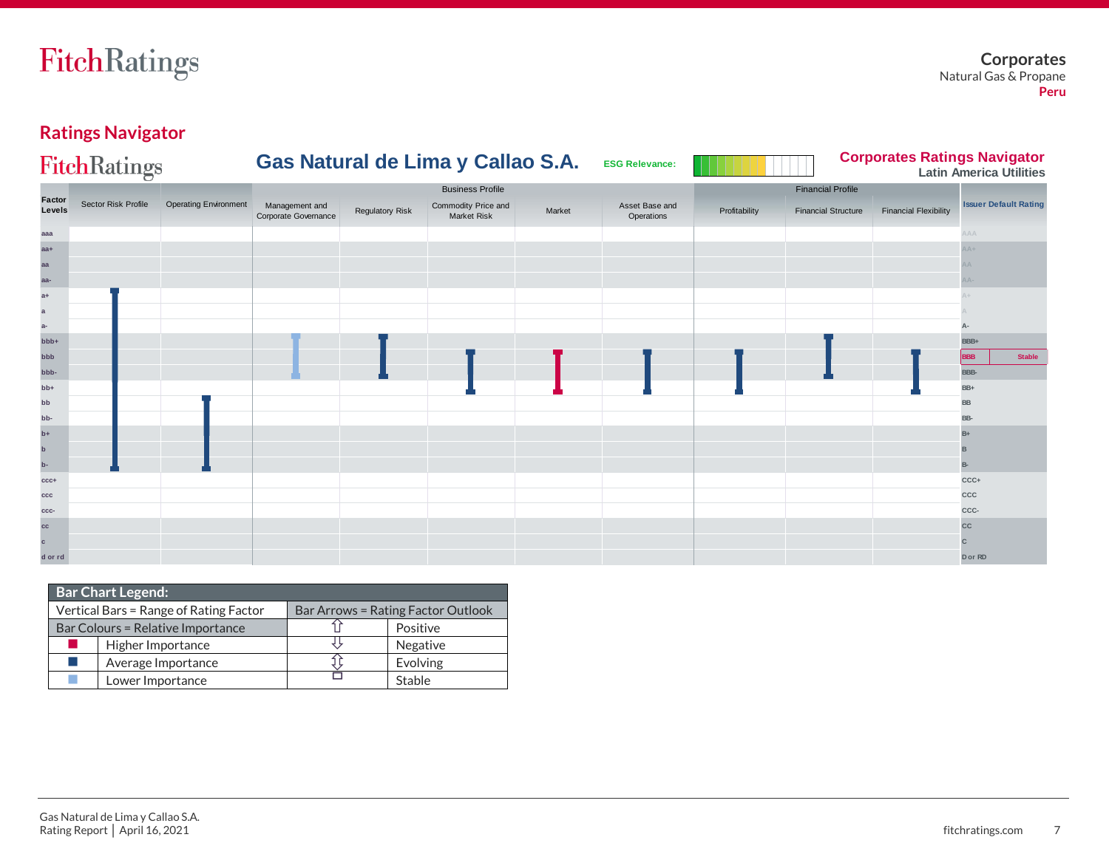# **Ratings Navigator**

|                  | <b>FitchRatings</b> |                              |                                        |                        | Gas Natural de Lima y Callao S.A.         |        | <b>ESG Relevance:</b>        |               |                            |                              | <b>Corporates Ratings Navigator</b><br><b>Latin America Utilities</b> |
|------------------|---------------------|------------------------------|----------------------------------------|------------------------|-------------------------------------------|--------|------------------------------|---------------|----------------------------|------------------------------|-----------------------------------------------------------------------|
|                  |                     |                              |                                        |                        | <b>Business Profile</b>                   |        |                              |               | <b>Financial Profile</b>   |                              |                                                                       |
| Factor<br>Levels | Sector Risk Profile | <b>Operating Environment</b> | Management and<br>Corporate Governance | <b>Regulatory Risk</b> | Commodity Price and<br><b>Market Risk</b> | Market | Asset Base and<br>Operations | Profitability | <b>Financial Structure</b> | <b>Financial Flexibility</b> | <b>Issuer Default Rating</b>                                          |
| aaa              |                     |                              |                                        |                        |                                           |        |                              |               |                            |                              | AAA                                                                   |
| $aa+$            |                     |                              |                                        |                        |                                           |        |                              |               |                            |                              | $+AA$                                                                 |
| aa               |                     |                              |                                        |                        |                                           |        |                              |               |                            |                              |                                                                       |
| aa-              |                     |                              |                                        |                        |                                           |        |                              |               |                            |                              |                                                                       |
| $a+$             |                     |                              |                                        |                        |                                           |        |                              |               |                            |                              |                                                                       |
| $\mathbf{a}$     |                     |                              |                                        |                        |                                           |        |                              |               |                            |                              |                                                                       |
| $a-$             |                     |                              |                                        |                        |                                           |        |                              |               |                            |                              |                                                                       |
| bbb+             |                     |                              |                                        |                        |                                           |        |                              |               |                            |                              | BBB+                                                                  |
| bbb              |                     |                              |                                        |                        |                                           |        |                              |               |                            |                              | <b>Stable</b><br>3BB                                                  |
| bbb-             |                     |                              |                                        |                        |                                           |        |                              |               |                            |                              | BBB-                                                                  |
| $bb++$           |                     |                              |                                        |                        |                                           |        |                              |               |                            |                              | BB+                                                                   |
| bb               |                     |                              |                                        |                        |                                           |        |                              |               |                            |                              | <b>BB</b>                                                             |
| bb-              |                     |                              |                                        |                        |                                           |        |                              |               |                            |                              | BB-                                                                   |
| $b+$             |                     |                              |                                        |                        |                                           |        |                              |               |                            |                              | $B +$                                                                 |
| $\mathbf b$      |                     |                              |                                        |                        |                                           |        |                              |               |                            |                              |                                                                       |
| $\mathbf{p}$     |                     |                              |                                        |                        |                                           |        |                              |               |                            |                              | B-                                                                    |
| $ccc+$           |                     |                              |                                        |                        |                                           |        |                              |               |                            |                              | CCC+                                                                  |
| ccc              |                     |                              |                                        |                        |                                           |        |                              |               |                            |                              | CCC                                                                   |
| CCC-             |                     |                              |                                        |                        |                                           |        |                              |               |                            |                              | CCC-                                                                  |
| cc               |                     |                              |                                        |                        |                                           |        |                              |               |                            |                              | cc                                                                    |
| $\mathbf{c}$     |                     |                              |                                        |                        |                                           |        |                              |               |                            |                              |                                                                       |
| d or rd          |                     |                              |                                        |                        |                                           |        |                              |               |                            |                              | D or RD                                                               |

| <b>Bar Chart Legend:</b> |                                        |  |                                           |  |  |  |  |  |  |  |
|--------------------------|----------------------------------------|--|-------------------------------------------|--|--|--|--|--|--|--|
|                          | Vertical Bars = Range of Rating Factor |  | <b>Bar Arrows = Rating Factor Outlook</b> |  |  |  |  |  |  |  |
|                          | Bar Colours = Relative Importance      |  | Positive                                  |  |  |  |  |  |  |  |
|                          | Higher Importance                      |  | Negative                                  |  |  |  |  |  |  |  |
|                          | Average Importance                     |  | Evolving                                  |  |  |  |  |  |  |  |
|                          | Lower Importance                       |  | Stable                                    |  |  |  |  |  |  |  |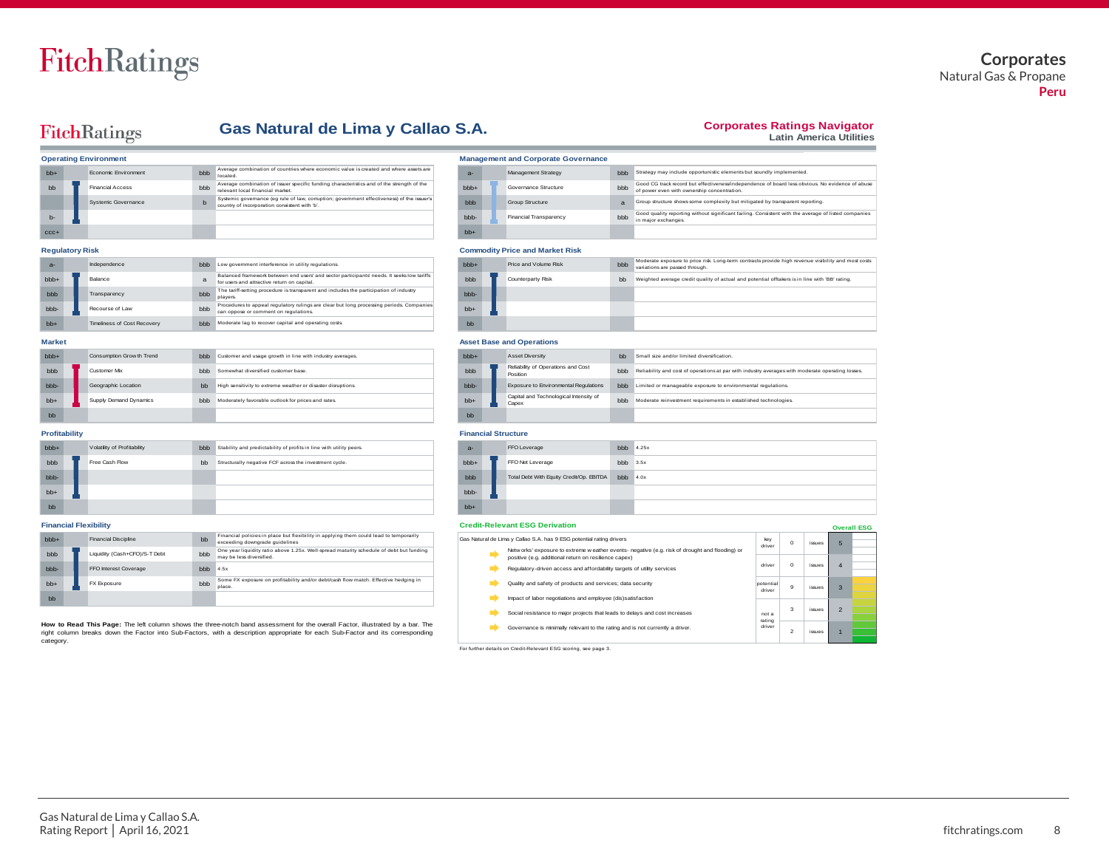### **Corporates** Natural Gas & Propane **Peru**

## FitchRatings

#### **Corporates Ratings Navigator**

Good CG track record but effectiveness/independence of board less obvious. No evidence of abuse

Good quality reporting without significant failing. Consistent with the average of listed companies in major exchanges.

not a rating driver

**Latin America Utilities**

1

issues 2 issues

4 3

issues issues

|                | <b>FitchRatings</b>          |     | Gas Natural de Lima y Callao S.A.                                                                                                           |  |            |  |                                            |                |  |  |
|----------------|------------------------------|-----|---------------------------------------------------------------------------------------------------------------------------------------------|--|------------|--|--------------------------------------------|----------------|--|--|
|                | <b>Operating Environment</b> |     |                                                                                                                                             |  |            |  | <b>Management and Corporate Governance</b> |                |  |  |
| $hh+$          | Economic Environment         | bbb | Average combination of countries where economic value is created and where assets are<br>located.                                           |  | $a -$      |  | Management Strategy                        | <b>bbb</b>     |  |  |
| b <sub>b</sub> | <b>Financial Access</b>      | bbb | Average combination of issuer specific funding characteristics and of the strength of the<br>relevant local financial market                |  | $hb +$     |  | Governance Structure                       | <b>bbb</b>     |  |  |
|                | Systemic Governance          | b   | Systemic governance (eg rule of law, corruption; government effectiveness) of the issuer's<br>country of incorporation consistent with 'b'. |  | <b>bbb</b> |  | <b>Group Structure</b>                     | $\overline{a}$ |  |  |
| $h-$           |                              |     |                                                                                                                                             |  | bbb-       |  | <b>Financial Transparency</b>              | <b>bbb</b>     |  |  |
| $CCC +$        |                              |     |                                                                                                                                             |  | $hh+$      |  |                                            |                |  |  |

#### $Re$  **Regulatory Risk**

| $a-$             | Independence                       | bbb | Low government interference in utility regulations.                                                                                       |     | bbb+                                           | Price and Volume Risk            | <b>bbb</b> |
|------------------|------------------------------------|-----|-------------------------------------------------------------------------------------------------------------------------------------------|-----|------------------------------------------------|----------------------------------|------------|
| bb <sub>+</sub>  | Balance                            | a   | Balanced framework between end users' and sector participants' needs. It seeks low tariffs<br>for users and attractive return on capital. |     | bbb                                            | Counterparty Risk                | bb         |
| bbb              | Transparency                       | bbb | The tariff-setting procedure is transparent and includes the participation of industry<br>players.                                        |     | bbb-                                           |                                  |            |
| bbb-             | Recourse of Law                    | bbb | Procedures to appeal regulatory rulings are clear but long processing periods. Companies<br>can oppose or comment on regulations.         |     | $bb+$                                          |                                  |            |
| $hh+$            | <b>Timeliness of Cost Recovery</b> | bbb | Moderate lag to recover capital and operating costs.                                                                                      |     | bb                                             |                                  |            |
| <b>Market</b>    |                                    |     |                                                                                                                                           |     |                                                | <b>Asset Base and Operations</b> |            |
| bb <sub>b+</sub> | Consumption Grow th Trend          | bbb | Customer and usage growth in line with industry averages.                                                                                 |     | bb <sub>b+</sub>                               | Asset Diversity                  | bb         |
| bbb              | Customer Mix                       | bbb | Somewhat diversified customer base.                                                                                                       | bbb | Reliability of Operations and Cost<br>Position | bbb                              |            |

| bbb+  | Consumption Grow th Trend | bbb | Customer and usage growth in line with industry averages.    | bb <sub>b+</sub> | Asset Diversity                                 | bb         |
|-------|---------------------------|-----|--------------------------------------------------------------|------------------|-------------------------------------------------|------------|
| bbb   | Customer Mix              | bbb | Somewhat diversified customer base.                          | bbb              | Reliability of Operations and Cost<br>Position  | <b>bbb</b> |
| bbb-  | Geographic Location       | bb  | High sensitivity to extreme weather or disaster disruptions. | bbb-             | Exposure to Environmental Regulations           | <b>bbb</b> |
| $bb+$ | Supply Demand Dynamics    | bbb | Moderately favorable outlook for prices and rates.           | $bb+$            | Capital and Technological Intensity of<br>Capex | <b>bbb</b> |
| bb    |                           |     |                                                              | bb               |                                                 |            |

| <b>Commodity Price and Market Risk</b> |  |                       |     |                                                                                                                                      |  |  |  |  |  |  |
|----------------------------------------|--|-----------------------|-----|--------------------------------------------------------------------------------------------------------------------------------------|--|--|--|--|--|--|
| $bbb+$                                 |  | Price and Volume Risk | bbb | Moderate exposure to price risk Long-term contracts provide high revenue visibility and most costs<br>variations are passed through. |  |  |  |  |  |  |
| bbb                                    |  | Counterparty Risk     | bb  | Weighted average credit quality of actual and potential offtakers is in line with 'BB' rating.                                       |  |  |  |  |  |  |
| bbb-                                   |  |                       |     |                                                                                                                                      |  |  |  |  |  |  |
| $bb+$                                  |  |                       |     |                                                                                                                                      |  |  |  |  |  |  |
| bb                                     |  |                       |     |                                                                                                                                      |  |  |  |  |  |  |

Strategy may include opportunistic elements but soundly implemented.

a Group structure shows some complexity but mitigated by transparent reporting.

of power even with ownership concentration.

#### **Market Asset Base and Operations**

| $1.99991$ and $9.9991$ and $9.991$ and $9.991$ |  |                                                 |            |                                                                                                  |  |  |  |  |  |
|------------------------------------------------|--|-------------------------------------------------|------------|--------------------------------------------------------------------------------------------------|--|--|--|--|--|
| bbb+                                           |  | Asset Diversity                                 | bb         | Small size and/or limited diversification                                                        |  |  |  |  |  |
| bbb                                            |  | Reliability of Operations and Cost<br>Position  | <b>bbb</b> | Reliability and cost of operations at par with industry averages with moderate operating losses. |  |  |  |  |  |
| bbb-                                           |  | Exposure to Environmental Regulations           | bbb        | Limited or manageable exposure to environmental regulations.                                     |  |  |  |  |  |
| b <sub>b+</sub>                                |  | Capital and Technological Intensity of<br>Capex | <b>bbb</b> | Moderate reinvestment requirements in established technologies.                                  |  |  |  |  |  |
| bb                                             |  |                                                 |            |                                                                                                  |  |  |  |  |  |

#### **Profitability Financial Structure**

| <b>TURILGMIRTY</b>                                            |  |                               |                |                                                                                                                          |                                                                                                                                                          |       |  |                                          |               |                    |        |  |  |  |  |  |  |
|---------------------------------------------------------------|--|-------------------------------|----------------|--------------------------------------------------------------------------------------------------------------------------|----------------------------------------------------------------------------------------------------------------------------------------------------------|-------|--|------------------------------------------|---------------|--------------------|--------|--|--|--|--|--|--|
| bb <sub>b+</sub>                                              |  | Volatility of Profitability   |                | hhh Stability and predictability of profits in line with utility peers.                                                  |                                                                                                                                                          | $a -$ |  | FFO Leverage                             | $bbb$ $4.25x$ |                    |        |  |  |  |  |  |  |
| bbb                                                           |  | Free Cash Flow                | b <sub>b</sub> | Structurally negative FCF across the investment cycle.                                                                   |                                                                                                                                                          | bbb   |  | FFO Net Leverage                         | bbb           | 3.5x               |        |  |  |  |  |  |  |
| bbb-                                                          |  |                               |                |                                                                                                                          |                                                                                                                                                          | bbb   |  | Total Debt With Equity Credit/Op. EBITDA | bbb           | 4.0x               |        |  |  |  |  |  |  |
| $bb+$                                                         |  |                               |                |                                                                                                                          |                                                                                                                                                          | bbb   |  |                                          |               |                    |        |  |  |  |  |  |  |
| bb                                                            |  |                               |                |                                                                                                                          |                                                                                                                                                          | bb+   |  |                                          |               |                    |        |  |  |  |  |  |  |
| inancial Flexibility<br><b>Credit-Relevant ESG Derivation</b> |  |                               |                |                                                                                                                          |                                                                                                                                                          |       |  |                                          |               | <b>Overall ESG</b> |        |  |  |  |  |  |  |
| bbb+                                                          |  | Financial Discipline          | bb             | Financial policies in place but flexibility in applying them could lead to temporarily<br>exceeding downgrade guidelines | Gas Natural de Lima y Callao S.A. has 9 ESG potential rating drivers<br>key                                                                              |       |  |                                          | driver        |                    | issues |  |  |  |  |  |  |
| bbb                                                           |  | Liquidity (Cash+CFO)/S-T Debt | bbb            | One year liquidity ratio above 1.25x. Well-spread maturity schedule of debt but funding<br>may be less diversified.      | Netw orks' exposure to extreme w eather events- negative (e.g. risk of drought and flooding) or<br>positive (e.g. additional return on resilience capex) |       |  |                                          |               |                    |        |  |  |  |  |  |  |
| bbb-                                                          |  | FFO Interest Coverage         | bbb            | 4.5x                                                                                                                     | driver<br>Requlatory-driven access and affordability targets of utility services                                                                         |       |  |                                          | $\Omega$      | issues             |        |  |  |  |  |  |  |

- **positive (e.g. additional return on resilience capex)**<br>positive (e.g. additional return on resilience capex)
- 
- Quality and safety of products and services; data security **SALE**
- Impact of labor negotiations and employee (dis)satisfaction **SALE**
- 
- Social resistance to major projects that leads to delays and cost increases
- Governance is minimally relevant to the rating and is not currently a driver.

For further details on Credit-Relevant ESG scoring, see page 3.

| <b>Financial Flexibility</b> |                 |  |                               |     |                                                                                                                          |  | <b>Credit-Relevant ESG Derivation</b> |  |                                                                                                                                                          |                    |  |  |  |  |
|------------------------------|-----------------|--|-------------------------------|-----|--------------------------------------------------------------------------------------------------------------------------|--|---------------------------------------|--|----------------------------------------------------------------------------------------------------------------------------------------------------------|--------------------|--|--|--|--|
|                              | bb <sub>+</sub> |  | Financial Discipline          |     | Financial policies in place but flexibility in applying them could lead to temporarily<br>exceeding downgrade guidelines |  |                                       |  | Gas Natural de Lima y Callao S.A. has 9 ESG potential rating drivers                                                                                     | kev<br>driver      |  |  |  |  |
|                              | bbb             |  | Liquidity (Cash+CFO)/S-T Debt | bbb | One year liquidity ratio above 1.25x. Well-spread maturity schedule of debt but funding<br>may be less diversified.      |  |                                       |  | Netw orks' exposure to extreme w eather events- negative (e.g. risk of drought and flooding) or<br>positive (e.g. additional return on resilience capex) |                    |  |  |  |  |
|                              | bbb             |  | FFO Interest Coverage         |     | $hhh$ $4.5x$                                                                                                             |  |                                       |  | Regulatory-driven access and affordability targets of utility services                                                                                   | driver             |  |  |  |  |
|                              | $bb+$           |  | FX Exposure                   | bbb | Some FX exposure on profitability and/or debt/cash flow match. Effective hedging in<br>place                             |  |                                       |  | Quality and safety of products and services; data security                                                                                               | potentia<br>driver |  |  |  |  |
|                              | bb              |  |                               |     |                                                                                                                          |  |                                       |  | Impact of labor negotiations and employee (dis)satisfaction                                                                                              |                    |  |  |  |  |

**How to Read This Page:** The left column shows the three-notch band assessment for the overall Factor, illustrated by a bar. The right column breaks down the Factor into Sub-Factors, with a description appropriate for each Sub-Factor and its corresponding category.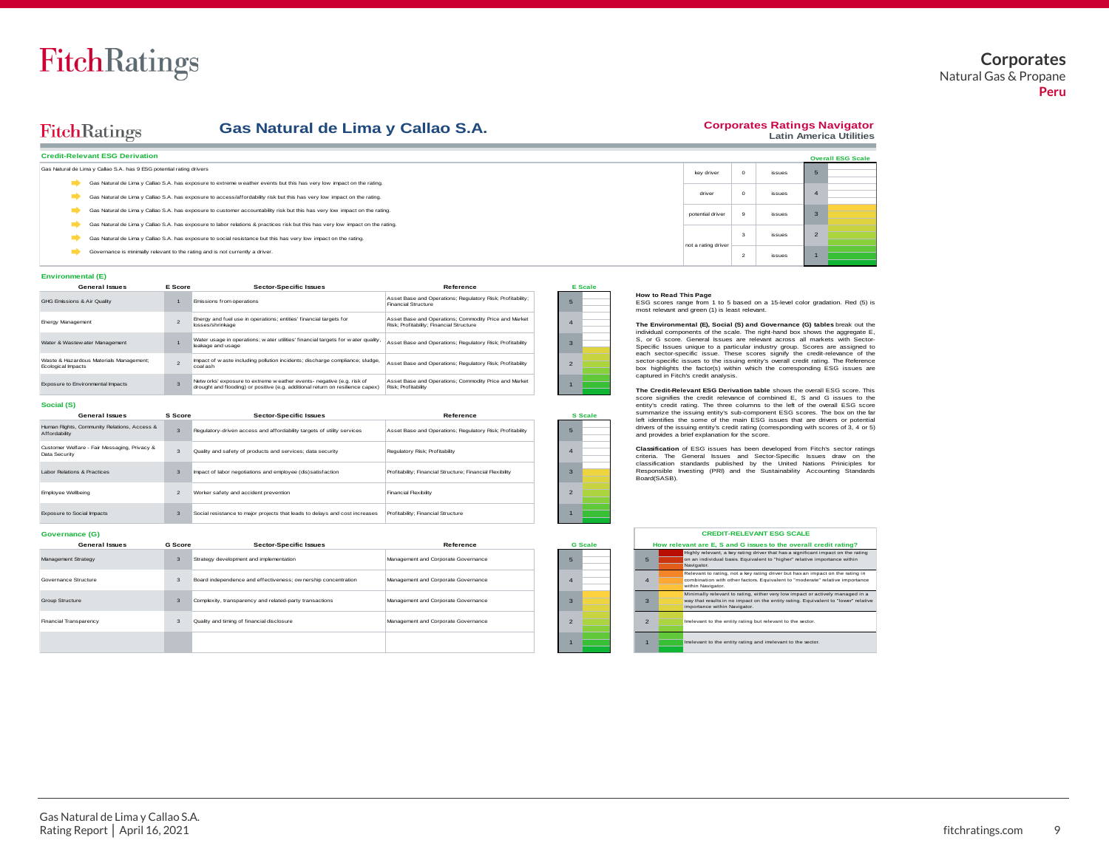#### **Gas Natural de Lima y Callao S.A.**

#### **Corporates Ratings Navigator Latin America Utilities**

| Gas Natural de Lima y Callao S.A.<br><b>FitchRatings</b>                                                                       |                     |                | <b>Corporates Ratings Nav</b><br>Latin America I |                  |  |
|--------------------------------------------------------------------------------------------------------------------------------|---------------------|----------------|--------------------------------------------------|------------------|--|
| <b>Credit-Relevant ESG Derivation</b>                                                                                          |                     |                |                                                  | <b>Overall E</b> |  |
| Gas Natural de Lima y Callao S.A. has 9 ESG potential rating drivers                                                           | key driver          | $\Omega$       | issues                                           |                  |  |
| Gas Natural de Lima y Callao S.A. has exposure to extreme w eather events but this has very low impact on the rating.          |                     |                |                                                  |                  |  |
| Gas Natural de Lima y Callao S.A. has exposure to access/affordability risk but this has very low impact on the rating.        | driver              | $\Omega$       | issues                                           |                  |  |
| Gas Natural de Lima y Callao S.A. has exposure to customer accountability risk but this has very low impact on the rating.     | potential driver    | $\Omega$       | issues                                           |                  |  |
| Gas Natural de Lima y Callao S.A. has exposure to labor relations & practices risk but this has very low impact on the rating. |                     |                |                                                  |                  |  |
| Gas Natural de Lima y Callao S.A. has exposure to social resistance but this has very low impact on the rating.                |                     |                | issues                                           | $\overline{2}$   |  |
| Governance is minimally relevant to the rating and is not currently a driver.                                                  | not a rating driver | $\overline{2}$ | <b>issues</b>                                    |                  |  |

#### **Environmental (E)**

| <b>Environmental (E)</b>                                      |                         |                                                                                                                                                          |                                                                                                   |  |         |  |  |  |  |  |
|---------------------------------------------------------------|-------------------------|----------------------------------------------------------------------------------------------------------------------------------------------------------|---------------------------------------------------------------------------------------------------|--|---------|--|--|--|--|--|
| <b>General Issues</b>                                         | E Score                 | <b>Sector-Specific Issues</b>                                                                                                                            | Reference                                                                                         |  | E Scale |  |  |  |  |  |
| GHG Emissions & Air Quality                                   |                         | Emissions from operations                                                                                                                                | Asset Base and Operations; Regulatory Risk; Profitability;<br><b>Financial Structure</b>          |  |         |  |  |  |  |  |
| Energy Management                                             | $\mathfrak{p}$          | Energy and fuel use in operations; entities' financial targets for<br>losses/shrinkage                                                                   | Asset Base and Operations; Commodity Price and Market<br>Risk: Profitability: Financial Structure |  |         |  |  |  |  |  |
| Water & Wastew ater Management                                |                         | Water usage in operations; water utilities' financial targets for water quality,<br>leakage and usage                                                    | Asset Base and Operations: Regulatory Risk: Profitability                                         |  |         |  |  |  |  |  |
| Waste & Hazardous Materials Management:<br>Ecological Impacts | $\mathfrak{D}$          | Impact of w aste including pollution incidents; discharge compliance; sludge,<br>coal ash                                                                | Asset Base and Operations: Regulatory Risk: Profitability                                         |  |         |  |  |  |  |  |
| Exposure to Environmental Impacts                             | $\overline{\mathbf{z}}$ | Netw orks' exposure to extreme w eather events- negative (e.g. risk of<br>drought and flooding) or positive (e.g. additional return on resilience capex) | Asset Base and Operations; Commodity Price and Market<br>Risk: Profitability                      |  |         |  |  |  |  |  |

#### **Social (S)**

| $\sim$                                                        |                |                                                                             |                                                           |
|---------------------------------------------------------------|----------------|-----------------------------------------------------------------------------|-----------------------------------------------------------|
| <b>General Issues</b>                                         | S Score        | <b>Sector-Specific Issues</b>                                               | Reference                                                 |
| Human Rights, Community Relations, Access &<br>Affordability  | $\overline{3}$ | Requlatory-driven access and affordability targets of utility services      | Asset Base and Operations: Regulatory Risk: Profitability |
| Customer Welfare - Fair Messaging, Privacy &<br>Data Security | 3              | Quality and safety of products and services; data security                  | Regulatory Risk: Profitability                            |
| Labor Relations & Practices                                   | $\overline{3}$ | Impact of labor negotiations and employee (dis)satisfaction                 | Profitability: Financial Structure: Financial Flexibility |
| Employee Wellbeing                                            | $\overline{2}$ | Worker safety and accident prevention                                       | Financial Flexibility                                     |
| Exposure to Social Impacts                                    | 3              | Social resistance to major projects that leads to delays and cost increases | Profitability: Financial Structure                        |

#### **Governance (G)**

| Exposure to Social Impacts |                | Social resistance to major projects that leads to delays and cost increases | Profitability: Financial Structure  |                |               |                                                                                                                                                        |
|----------------------------|----------------|-----------------------------------------------------------------------------|-------------------------------------|----------------|---------------|--------------------------------------------------------------------------------------------------------------------------------------------------------|
| Governance (G)             |                |                                                                             |                                     |                |               | <b>CREDIT-RELEVANT ESG SCALE</b>                                                                                                                       |
| <b>General Issues</b>      | <b>G</b> Score | <b>Sector-Specific Issues</b>                                               | Reference                           | <b>G</b> Scale |               | How relevant are E, S and G issues to the overall o                                                                                                    |
| Management Strategy        | -3             | Strategy development and implementation                                     | Management and Corporate Governance |                | 5             | Highly relevant, a key rating driver that has a significan<br>on an individual basis. Equivalent to "higher" relative i<br>Navigator.                  |
| Governance Structure       |                | Board independence and effectiveness; ow nership concentration              | Management and Corporate Governance |                |               | Relevant to rating, not a key rating driver but has an im<br>combination with other factors. Equivalent to "moderate<br>within Navigator.              |
| Group Structure            | $\overline{3}$ | Complexity, transparency and related-party transactions                     | Management and Corporate Governance |                | 3             | Minimally relevant to rating, either very low impact or a<br>way that results in no impact on the entity rating. Equiv<br>importance within Navigator. |
| Financial Transparency     | -3             | Quality and timing of financial disclosure                                  | Management and Corporate Governance |                | $\mathcal{P}$ | Irrelevant to the entity rating but relevant to the sector.                                                                                            |
|                            |                |                                                                             |                                     |                |               | Irrelevant to the entity rating and irrelevant to the sector                                                                                           |

|                                                                                                                                                                |                     |                |        |                | <b>Overall ESG Scale</b>                                                  |  |  |  |  |
|----------------------------------------------------------------------------------------------------------------------------------------------------------------|---------------------|----------------|--------|----------------|---------------------------------------------------------------------------|--|--|--|--|
|                                                                                                                                                                | key driver          | $\circ$        | issues | 5              |                                                                           |  |  |  |  |
|                                                                                                                                                                | driver              | $\Omega$       | issues | $\overline{4}$ |                                                                           |  |  |  |  |
|                                                                                                                                                                | potential driver    | 9              | issues | 3              |                                                                           |  |  |  |  |
|                                                                                                                                                                |                     | 3              | issues | $\overline{2}$ |                                                                           |  |  |  |  |
|                                                                                                                                                                | not a rating driver | $\overline{2}$ | issues | $\blacksquare$ |                                                                           |  |  |  |  |
| <b>How to Read This Page</b><br>ESG scores range from 1 to 5 based on a 15-level color gradation. Red (5) is<br>most relevant and green (1) is least relevant. |                     |                |        |                |                                                                           |  |  |  |  |
|                                                                                                                                                                |                     |                |        |                | The Environmental (E), Social (S) and Governance (G) tables break out the |  |  |  |  |

5 4

2 1

3

**S Scale**

**The Environmental (E), Social (S) and Governance (G) tables** break out the not a rating driver<br>
2 issues<br>
How to Read This Page<br>
ESG scores range from 1 to 5 based on a 15-level color gradation. Red (5) is<br>
ESG scores range from 1 to 5 based on a 15-level color gradation. Red (5) is<br>
emot relevan each sector-specific issue. These scores signify the credit-relevance of the **How to Read This Page**<br>
ESG scores range from 1 to 5 based on a 15-level color gradation. Red (5) is<br>
ESG scores range from 1 to 5 based Revant.<br> **The Environmental (E), Social (S) and Governance (G) tables** break out the box highlights the factor(s) within which the corresponding ESG issues are<br>box highlights the factor(s) within which the corresponding ESG issues are captured in Fitch's credit analysis. Est scores range from 1 to based on a 1-slevel clor gradation. Ked (b) is<br>most relevant and green (1) is least relevant. **(S)** and Governance (G) tables break out the<br>individual components of the scale. The right-hand box

**The Credit-Relevant ESG Derivation table** shows the overall ESG score. This summarize the issuing entity's sub-component ESG scores. The box on the far left identifies the some of the main ESG issues that are drivers or potential drivers of the issuing entity's credit rating (corresponding with scores of 3, 4 or 5) and provides a brief explanation for the score.

**Classification** of ESG issues has been developed from Fitch's sector ratings criteria. The General Issues and Sector-Specific Issues draw on the classification standards published by the United Nations Priniciples for Responsible Investing (PRI) and the Sustainability Accounting Standards Board(SASB).

#### **CREDIT-RELEVANT ESG SCALE**

|                | How relevant are E. S and G issues to the overall credit rating?                                                                                                                                    |
|----------------|-----------------------------------------------------------------------------------------------------------------------------------------------------------------------------------------------------|
| 5              | Highly relevant, a key rating driver that has a significant impact on the rating<br>on an individual basis. Equivalent to "higher" relative importance within<br>Navigator.                         |
| $\overline{A}$ | Relevant to rating, not a key rating driver but has an impact on the rating in<br>combination with other factors. Equivalent to "moderate" relative importance<br>within Navigator.                 |
| $\overline{3}$ | Minimally relevant to rating, either yery low impact or actively managed in a<br>way that results in no impact on the entity rating. Equivalent to "lower" relative<br>importance within Navigator. |
| $\mathfrak{p}$ | Irrelevant to the entity rating but relevant to the sector.                                                                                                                                         |
|                | Irrelevant to the entity rating and irrelevant to the sector.                                                                                                                                       |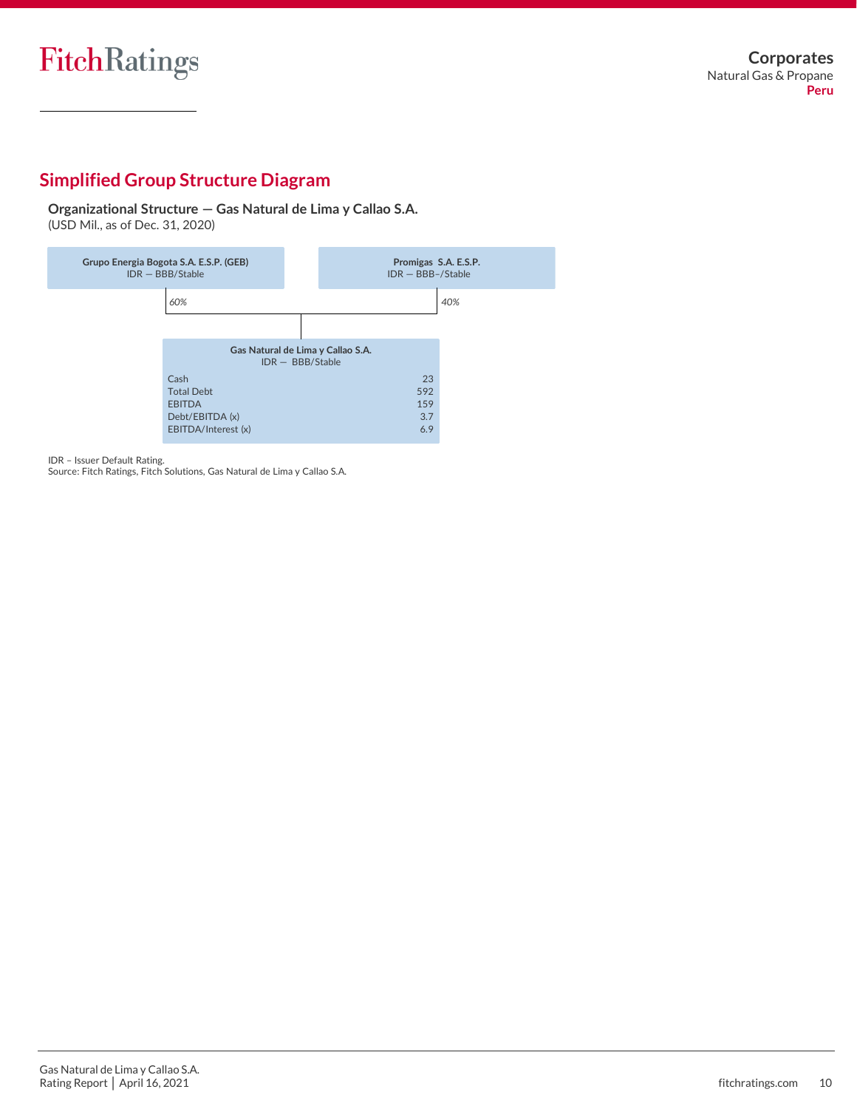# **Simplified Group Structure Diagram**

**Organizational Structure — Gas Natural de Lima y Callao S.A.** (USD Mil., as of Dec. 31, 2020)



IDR – Issuer Default Rating.

Source: Fitch Ratings, Fitch Solutions, Gas Natural de Lima y Callao S.A.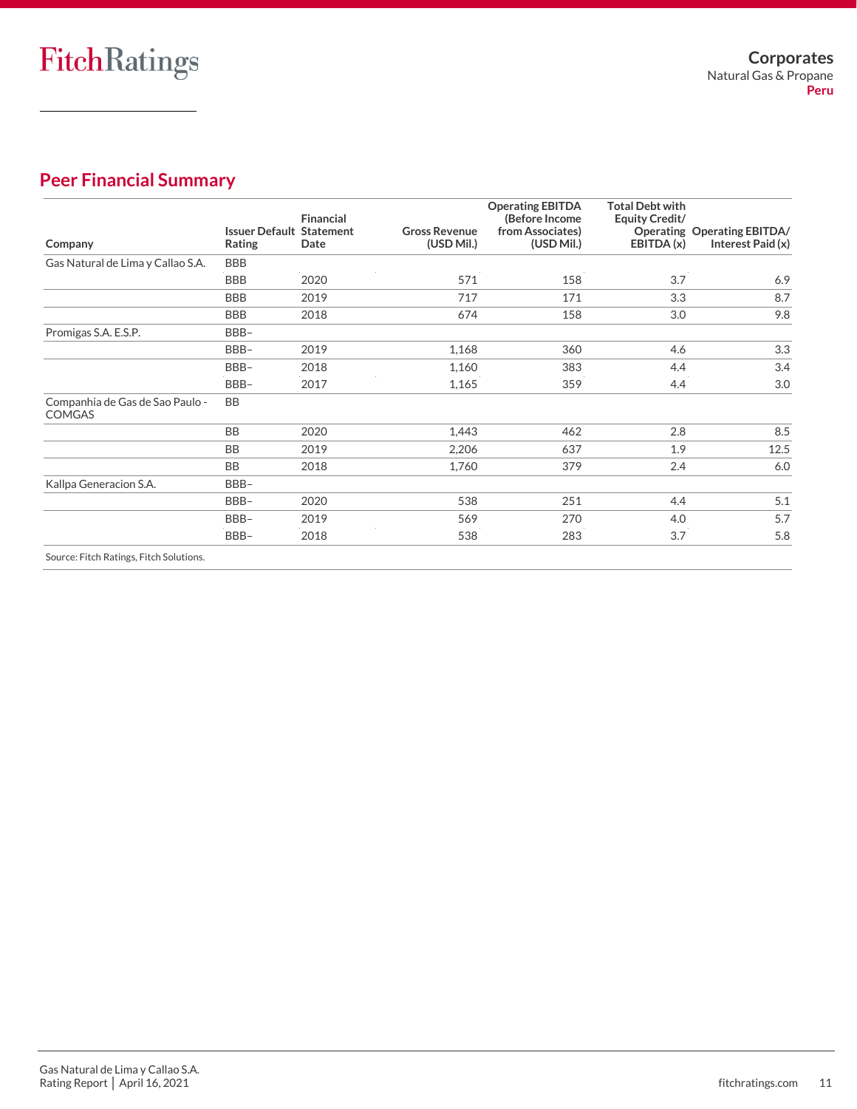# **Peer Financial Summary**

| Company                                          | <b>Issuer Default Statement</b><br>Rating | <b>Financial</b><br>Date | <b>Gross Revenue</b><br>(USD Mil.) | <b>Operating EBITDA</b><br>(Before Income<br>from Associates)<br>(USD Mil.) | <b>Total Debt with</b><br>Equity Credit/<br>EBITDA (x) | Operating Operating EBITDA/<br>Interest Paid (x) |
|--------------------------------------------------|-------------------------------------------|--------------------------|------------------------------------|-----------------------------------------------------------------------------|--------------------------------------------------------|--------------------------------------------------|
| Gas Natural de Lima y Callao S.A.                | <b>BBB</b>                                |                          |                                    |                                                                             |                                                        |                                                  |
|                                                  | <b>BBB</b>                                | 2020                     | 571                                | 158                                                                         | 3.7                                                    | 6.9                                              |
|                                                  | <b>BBB</b>                                | 2019                     | 717                                | 171                                                                         | 3.3                                                    | 8.7                                              |
|                                                  | <b>BBB</b>                                | 2018                     | 674                                | 158                                                                         | 3.0                                                    | 9.8                                              |
| Promigas S.A. E.S.P.                             | BBB-                                      |                          |                                    |                                                                             |                                                        |                                                  |
|                                                  | BBB-                                      | 2019                     | 1,168                              | 360                                                                         | 4.6                                                    | 3.3                                              |
|                                                  | BBB-                                      | 2018                     | 1,160                              | 383                                                                         | 4.4                                                    | 3.4                                              |
|                                                  | BBB-                                      | 2017                     | 1,165                              | 359                                                                         | 4.4                                                    | 3.0                                              |
| Companhia de Gas de Sao Paulo -<br><b>COMGAS</b> | BB                                        |                          |                                    |                                                                             |                                                        |                                                  |
|                                                  | <b>BB</b>                                 | 2020                     | 1,443                              | 462                                                                         | 2.8                                                    | 8.5                                              |
|                                                  | <b>BB</b>                                 | 2019                     | 2,206                              | 637                                                                         | 1.9                                                    | 12.5                                             |
|                                                  | <b>BB</b>                                 | 2018                     | 1,760                              | 379                                                                         | 2.4                                                    | 6.0                                              |
| Kallpa Generacion S.A.                           | BBB-                                      |                          |                                    |                                                                             |                                                        |                                                  |
|                                                  | BBB-                                      | 2020                     | 538                                | 251                                                                         | 4.4                                                    | 5.1                                              |
|                                                  | BBB-                                      | 2019                     | 569                                | 270                                                                         | 4.0                                                    | 5.7                                              |
|                                                  | BBB-                                      | 2018                     | 538                                | 283                                                                         | 3.7                                                    | 5.8                                              |
| Source: Fitch Ratings, Fitch Solutions.          |                                           |                          |                                    |                                                                             |                                                        |                                                  |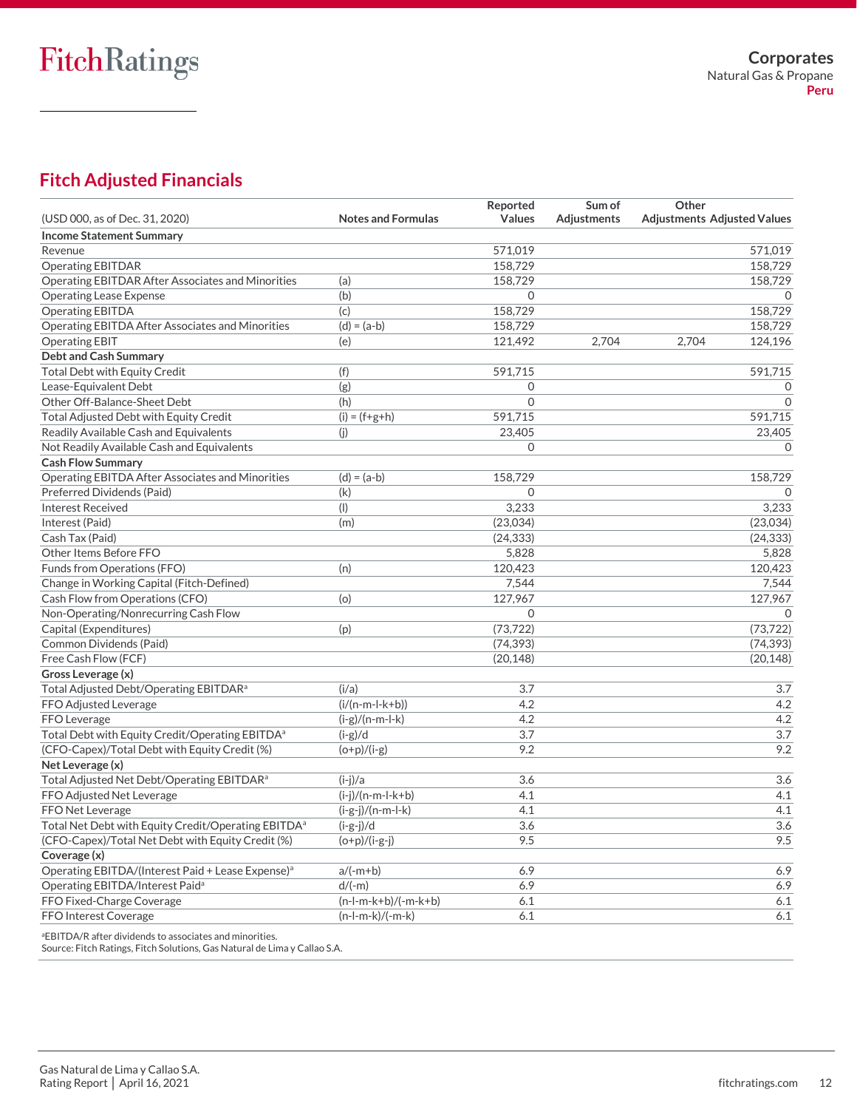# **Fitch Adjusted Financials**

|                                                                 |                           | Reported       | Sum of             | Other                              |
|-----------------------------------------------------------------|---------------------------|----------------|--------------------|------------------------------------|
| (USD 000, as of Dec. 31, 2020)                                  | <b>Notes and Formulas</b> | <b>Values</b>  | <b>Adjustments</b> | <b>Adjustments Adjusted Values</b> |
| <b>Income Statement Summary</b>                                 |                           |                |                    |                                    |
| Revenue                                                         |                           | 571,019        |                    | 571,019                            |
| <b>Operating EBITDAR</b>                                        |                           | 158,729        |                    | 158,729                            |
| <b>Operating EBITDAR After Associates and Minorities</b>        | (a)                       | 158,729        |                    | 158,729                            |
| <b>Operating Lease Expense</b>                                  | (b)                       | $\Omega$       |                    | $\Omega$                           |
| <b>Operating EBITDA</b>                                         | (c)                       | 158,729        |                    | 158.729                            |
| Operating EBITDA After Associates and Minorities                | $(d) = (a-b)$             | 158,729        |                    | 158,729                            |
| <b>Operating EBIT</b>                                           | (e)                       | 121,492        | 2,704              | 2,704<br>124,196                   |
| <b>Debt and Cash Summary</b>                                    |                           |                |                    |                                    |
| <b>Total Debt with Equity Credit</b>                            | (f)                       | 591,715        |                    | 591.715                            |
| Lease-Equivalent Debt                                           | (g)                       | $\mathbf 0$    |                    | $\mathbf 0$                        |
| Other Off-Balance-Sheet Debt                                    | (h)                       | $\overline{0}$ |                    | $\mathbf 0$                        |
| Total Adjusted Debt with Equity Credit                          | $(i) = (f+g+h)$           | 591,715        |                    | 591,715                            |
| Readily Available Cash and Equivalents                          | (j)                       | 23,405         |                    | 23,405                             |
| Not Readily Available Cash and Equivalents                      |                           | $\Omega$       |                    | $\Omega$                           |
| <b>Cash Flow Summary</b>                                        |                           |                |                    |                                    |
| Operating EBITDA After Associates and Minorities                | $(d) = (a-b)$             | 158,729        |                    | 158,729                            |
| Preferred Dividends (Paid)                                      | (k)                       | $\mathbf 0$    |                    | $\mathbf{0}$                       |
| <b>Interest Received</b>                                        | (1)                       | 3,233          |                    | 3,233                              |
| Interest (Paid)                                                 | (m)                       | (23,034)       |                    | (23,034)                           |
| Cash Tax (Paid)                                                 |                           | (24, 333)      |                    | (24, 333)                          |
| Other Items Before FFO                                          |                           | 5,828          |                    | 5,828                              |
| Funds from Operations (FFO)                                     | (n)                       | 120,423        |                    | 120,423                            |
| Change in Working Capital (Fitch-Defined)                       |                           | 7,544          |                    | 7,544                              |
| Cash Flow from Operations (CFO)                                 | (o)                       | 127,967        |                    | 127,967                            |
| Non-Operating/Nonrecurring Cash Flow                            |                           | $\Omega$       |                    | $\Omega$                           |
| Capital (Expenditures)                                          | (p)                       | (73, 722)      |                    | (73, 722)                          |
| Common Dividends (Paid)                                         |                           | (74, 393)      |                    | (74, 393)                          |
| Free Cash Flow (FCF)                                            |                           | (20, 148)      |                    | (20, 148)                          |
| Gross Leverage (x)                                              |                           |                |                    |                                    |
| Total Adjusted Debt/Operating EBITDAR <sup>a</sup>              | (i/a)                     | 3.7            |                    | 3.7                                |
| FFO Adjusted Leverage                                           | $(i/(n-m-l-k+b))$         | 4.2            |                    | 4.2                                |
| <b>FFO</b> Leverage                                             | $(i-g)/(n-m-l-k)$         | 4.2            |                    | 4.2                                |
| Total Debt with Equity Credit/Operating EBITDA <sup>a</sup>     | $(i-g)/d$                 | 3.7            |                    | 3.7                                |
| (CFO-Capex)/Total Debt with Equity Credit (%)                   | $(o+p)/(i-g)$             | 9.2            |                    | 9.2                                |
| Net Leverage (x)                                                |                           |                |                    |                                    |
| Total Adjusted Net Debt/Operating EBITDAR <sup>a</sup>          | $(i-i)/a$                 | 3.6            |                    | $\overline{3.6}$                   |
| FFO Adjusted Net Leverage                                       | $(i-j)/(n-m-l-k+b)$       | 4.1            |                    | 4.1                                |
| FFO Net Leverage                                                | $(i-g-j)/(n-m-l-k)$       | 4.1            |                    | 4.1                                |
| Total Net Debt with Equity Credit/Operating EBITDA <sup>a</sup> | $(i-g-j)/d$               | 3.6            |                    | 3.6                                |
| (CFO-Capex)/Total Net Debt with Equity Credit (%)               | $(o+p)/(i-g-j)$           | 9.5            |                    | 9.5                                |
| Coverage (x)                                                    |                           |                |                    |                                    |
| Operating EBITDA/(Interest Paid + Lease Expense) <sup>a</sup>   | $a/(-m+b)$                | 6.9            |                    | 6.9                                |
| Operating EBITDA/Interest Paid <sup>a</sup>                     | $d/(-m)$                  | 6.9            |                    | 6.9                                |
| FFO Fixed-Charge Coverage                                       | $(n-l-m-k+b)/(-m-k+b)$    | 6.1            |                    | 6.1                                |
| FFO Interest Coverage                                           | $(n-l-m-k)/(-m-k)$        | 6.1            |                    | 6.1                                |

<sup>a</sup>EBITDA/R after dividends to associates and minorities.

Source: Fitch Ratings, Fitch Solutions, Gas Natural de Lima y Callao S.A.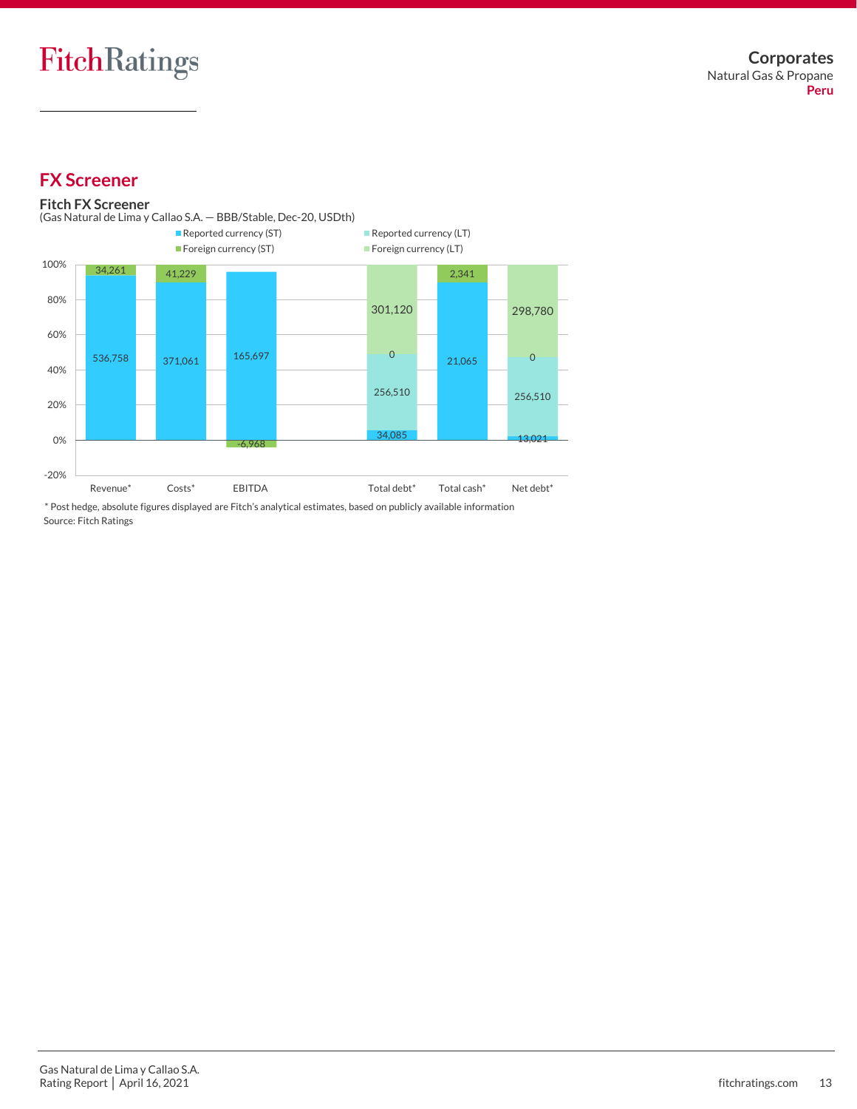## **FX Screener**

#### 536,758 371,061 165,697 34,085 21,065 13,021 256,510 256,510 34,261 41,229 -6,968 0 2,341  $\overline{0}$ 301,120 298,780 -20% 0% 20% 40% 60% 80% 100% Revenue\* Costs\* EBITDA Total debt\* Total cash\* Net debt\* Reported currency (ST) Reported currency (LT) ■ Foreign currency (ST) Foreign currency (LT) **Fitch FX Screener** Source: Fitch Ratings (Gas Natural de Lima y Callao S.A. — BBB/Stable, Dec-20, USDth) \* Post hedge, absolute figures displayed are Fitch's analytical estimates, based on publicly available information

Gas Natural de Lima y Callao S.A. Rating Report | April 16, 2021 **fitchratings.com** 13